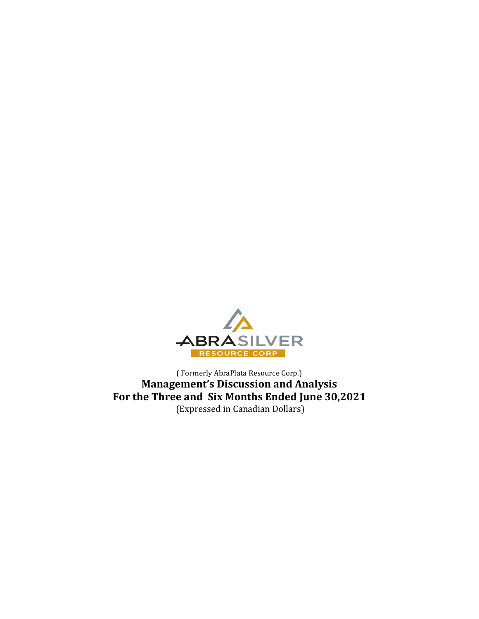

( Formerly AbraPlata Resource Corp.) **Management's Discussion and Analysis For the Three and Six Months Ended June 30,2021** (Expressed in Canadian Dollars)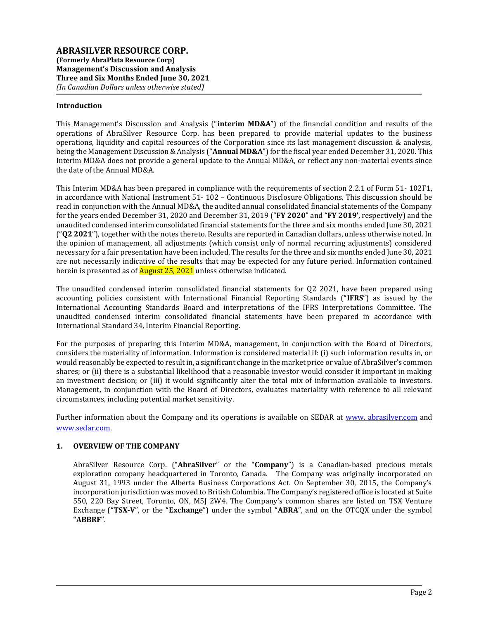## **Introduction**

This Management's Discussion and Analysis ("**interim MD&A**") of the financial condition and results of the operations of AbraSilver Resource Corp. has been prepared to provide material updates to the business operations, liquidity and capital resources of the Corporation since its last management discussion & analysis, being the Management Discussion & Analysis ("**Annual MD&A**") for the fiscal year ended December 31, 2020. This Interim MD&A does not provide a general update to the Annual MD&A, or reflect any non-material events since the date of the Annual MD&A.

This Interim MD&A has been prepared in compliance with the requirements of section 2.2.1 of Form 51- 102F1, in accordance with National Instrument 51- 102 – Continuous Disclosure Obligations. This discussion should be read in conjunction with the Annual MD&A, the audited annual consolidated financial statements of the Company for the years ended December 31, 2020 and December 31, 2019 ("**FY 2020**" and "**FY 2019'**, respectively) and the unaudited condensed interim consolidated financial statements for the three and six months ended June 30, 2021 ("**Q2 2021**"), together with the notes thereto. Results are reported in Canadian dollars, unless otherwise noted. In the opinion of management, all adjustments (which consist only of normal recurring adjustments) considered necessary for a fair presentation have been included. The results for the three and six months ended June 30, 2021 are not necessarily indicative of the results that may be expected for any future period. Information contained herein is presented as of **August 25, 2021** unless otherwise indicated.

The unaudited condensed interim consolidated financial statements for Q2 2021, have been prepared using accounting policies consistent with International Financial Reporting Standards ("**IFRS**") as issued by the International Accounting Standards Board and interpretations of the IFRS Interpretations Committee. The unaudited condensed interim consolidated financial statements have been prepared in accordance with International Standard 34, Interim Financial Reporting.

For the purposes of preparing this Interim MD&A, management, in conjunction with the Board of Directors, considers the materiality of information. Information is considered material if: (i) such information results in, or would reasonably be expected to result in, a significant change in the market price or value of AbraSilver's common shares; or (ii) there is a substantial likelihood that a reasonable investor would consider it important in making an investment decision; or (iii) it would significantly alter the total mix of information available to investors. Management, in conjunction with the Board of Directors, evaluates materiality with reference to all relevant circumstances, including potential market sensitivity.

Further information about the Company and its operations is available on SEDAR at www. abrasilver.com and [www.sedar.com.](http://www.sedar.com/)

## **1. OVERVIEW OF THE COMPANY**

AbraSilver Resource Corp. ("**AbraSilver**" or the "**Company**") is a Canadian-based precious metals exploration company headquartered in Toronto, Canada. The Company was originally incorporated on August 31, 1993 under the Alberta Business Corporations Act. On September 30, 2015, the Company's incorporation jurisdiction was moved to British Columbia. The Company's registered office is located at Suite 550, 220 Bay Street, Toronto, ON, M5J 2W4. The Company's common shares are listed on TSX Venture Exchange ("**TSX-V**", or the "**Exchange**") under the symbol "**ABRA**", and on the OTCQX under the symbol **"ABBRF"**.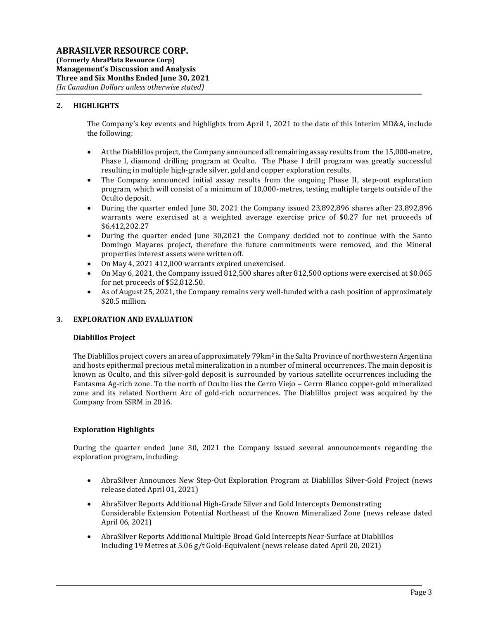# **2. HIGHLIGHTS**

The Company's key events and highlights from April 1, 2021 to the date of this Interim MD&A, include the following:

- At the Diablillos project, the Company announced all remaining assay results from the 15,000-metre, Phase I, diamond drilling program at Oculto. The Phase I drill program was greatly successful resulting in multiple high-grade silver, gold and copper exploration results.
- The Company announced initial assay results from the ongoing Phase II, step-out exploration program, which will consist of a minimum of 10,000-metres, testing multiple targets outside of the Oculto deposit.
- During the quarter ended June 30, 2021 the Company issued 23,892,896 shares after 23,892,896 warrants were exercised at a weighted average exercise price of \$0.27 for net proceeds of \$6,412,202.27
- During the quarter ended June 30,2021 the Company decided not to continue with the Santo Domingo Mayares project, therefore the future commitments were removed, and the Mineral properties interest assets were written off.
- On May 4, 2021 412,000 warrants expired unexercised.
- On May 6, 2021, the Company issued 812,500 shares after 812,500 options were exercised at \$0.065 for net proceeds of \$52,812.50.
- As of August 25, 2021, the Company remains very well-funded with a cash position of approximately \$20.5 million.

## **3. EXPLORATION AND EVALUATION**

## **Diablillos Project**

The Diablillos project covers an area of approximately 79km<sup>2</sup> in the Salta Province of northwestern Argentina and hosts epithermal precious metal mineralization in a number of mineral occurrences. The main deposit is known as Oculto, and this silver-gold deposit is surrounded by various satellite occurrences including the Fantasma Ag-rich zone. To the north of Oculto lies the Cerro Viejo – Cerro Blanco copper-gold mineralized zone and its related Northern Arc of gold-rich occurrences. The Diablillos project was acquired by the Company from SSRM in 2016.

## **Exploration Highlights**

During the quarter ended June 30, 2021 the Company issued several announcements regarding the exploration program, including:

- AbraSilver Announces New Step-Out Exploration Program at Diablillos Silver-Gold Project (news release dated April 01, 2021)
- AbraSilver Reports Additional High-Grade Silver and Gold Intercepts Demonstrating Considerable Extension Potential Northeast of the Known Mineralized Zone (news release dated April 06, 2021)
- AbraSilver Reports Additional Multiple Broad Gold Intercepts Near-Surface at Diablillos Including 19 Metres at 5.06 g/t Gold-Equivalent (news release dated April 20, 2021)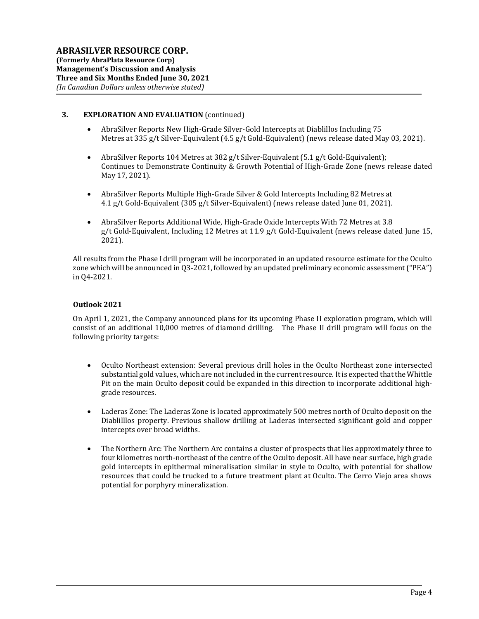## **3. EXPLORATION AND EVALUATION** (continued)

- AbraSilver Reports New High-Grade Silver-Gold Intercepts at Diablillos Including 75 Metres at 335 g/t Silver-Equivalent (4.5 g/t Gold-Equivalent) (news release dated May 03, 2021).
- AbraSilver Reports 104 Metres at 382 g/t Silver-Equivalent (5.1 g/t Gold-Equivalent); Continues to Demonstrate Continuity & Growth Potential of High-Grade Zone (news release dated May 17, 2021).
- AbraSilver Reports Multiple High-Grade Silver & Gold Intercepts Including 82 Metres at 4.1 g/t Gold-Equivalent (305 g/t Silver-Equivalent) (news release dated June 01, 2021).
- AbraSilver Reports Additional Wide, High-Grade Oxide Intercepts With 72 Metres at 3.8 g/t Gold-Equivalent, Including 12 Metres at 11.9 g/t Gold-Equivalent (news release dated June 15, 2021).

All results from the Phase I drill program will be incorporated in an updated resource estimate for the Oculto zone which will be announced in Q3-2021, followed by an updated preliminary economic assessment ("PEA") in Q4-2021.

## **Outlook 2021**

On April 1, 2021, the Company announced plans for its upcoming Phase II exploration program, which will consist of an additional 10,000 metres of diamond drilling. The Phase II drill program will focus on the following priority targets:

- Oculto Northeast extension: Several previous drill holes in the Oculto Northeast zone intersected substantial gold values, which are not included in the current resource. It is expected that the Whittle Pit on the main Oculto deposit could be expanded in this direction to incorporate additional highgrade resources.
- Laderas Zone: The Laderas Zone is located approximately 500 metres north of Oculto deposit on the Diablilllos property. Previous shallow drilling at Laderas intersected significant gold and copper intercepts over broad widths.
- The Northern Arc: The Northern Arc contains a cluster of prospects that lies approximately three to four kilometres north-northeast of the centre of the Oculto deposit. All have near surface, high grade gold intercepts in epithermal mineralisation similar in style to Oculto, with potential for shallow resources that could be trucked to a future treatment plant at Oculto. The Cerro Viejo area shows potential for porphyry mineralization.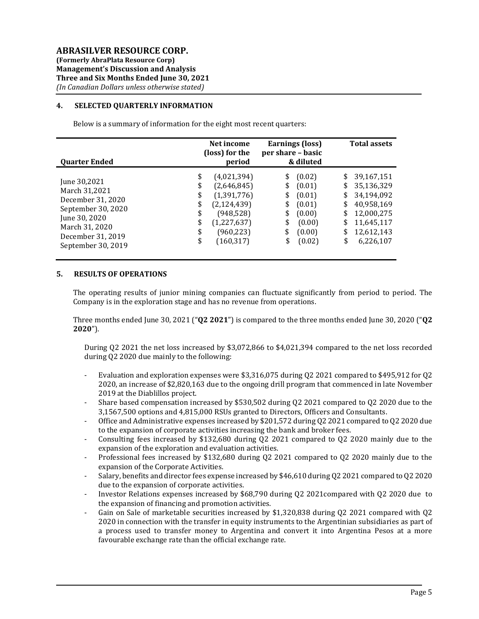#### **4. SELECTED QUARTERLY INFORMATION**

Below is a summary of information for the eight most recent quarters:

| <b>Quarter Ended</b>                                                                                                                                   | Net income<br>(loss) for the<br>period                                                                                                                              | <b>Earnings (loss)</b><br>per share - basic<br>& diluted                                                                     | <b>Total assets</b>                                                                                                                                         |  |  |
|--------------------------------------------------------------------------------------------------------------------------------------------------------|---------------------------------------------------------------------------------------------------------------------------------------------------------------------|------------------------------------------------------------------------------------------------------------------------------|-------------------------------------------------------------------------------------------------------------------------------------------------------------|--|--|
| June 30,2021<br>March 31,2021<br>December 31, 2020<br>September 30, 2020<br>June 30, 2020<br>March 31, 2020<br>December 31, 2019<br>September 30, 2019 | \$<br>(4,021,394)<br>\$<br>(2,646,845)<br>\$<br>(1,391,776)<br>\$<br>(2, 124, 439)<br>\$<br>(948, 528)<br>\$<br>(1,227,637)<br>\$<br>(960, 223)<br>\$<br>(160, 317) | (0.02)<br>\$<br>(0.01)<br>\$<br>(0.01)<br>\$<br>\$<br>(0.01)<br>\$<br>(0.00)<br>\$<br>(0.00)<br>(0.00)<br>\$<br>\$<br>(0.02) | 39,167,151<br>\$<br>\$<br>35,136,329<br>\$<br>34,194,092<br>\$<br>40,958,169<br>\$<br>12,000,275<br>\$<br>11,645,117<br>\$<br>12,612,143<br>\$<br>6,226,107 |  |  |

#### **5. RESULTS OF OPERATIONS**

The operating results of junior mining companies can fluctuate significantly from period to period. The Company is in the exploration stage and has no revenue from operations.

Three months ended June 30, 2021 ("**Q2 2021**") is compared to the three months ended June 30, 2020 ("**Q2 2020**").

During Q2 2021 the net loss increased by \$3,072,866 to \$4,021,394 compared to the net loss recorded during Q2 2020 due mainly to the following:

- Evaluation and exploration expenses were \$3,316,075 during Q2 2021 compared to \$495,912 for Q2 2020, an increase of \$2,820,163 due to the ongoing drill program that commenced in late November 2019 at the Diablillos project.
- Share based compensation increased by \$530,502 during Q2 2021 compared to Q2 2020 due to the 3,1567,500 options and 4,815,000 RSUs granted to Directors, Officers and Consultants.
- Office and Administrative expenses increased by \$201,572 during Q2 2021 compared to Q2 2020 due to the expansion of corporate activities increasing the bank and broker fees.
- Consulting fees increased by \$132,680 during Q2 2021 compared to Q2 2020 mainly due to the expansion of the exploration and evaluation activities.
- Professional fees increased by \$132,680 during Q2 2021 compared to Q2 2020 mainly due to the expansion of the Corporate Activities.
- Salary, benefits and director fees expense increased by \$46,610 during Q2 2021 compared to Q2 2020 due to the expansion of corporate activities.
- Investor Relations expenses increased by \$68,790 during Q2 2021compared with Q2 2020 due to the expansion of financing and promotion activities.
- Gain on Sale of marketable securities increased by \$1,320,838 during Q2 2021 compared with Q2 2020 in connection with the transfer in equity instruments to the Argentinian subsidiaries as part of a process used to transfer money to Argentina and convert it into Argentina Pesos at a more favourable exchange rate than the official exchange rate.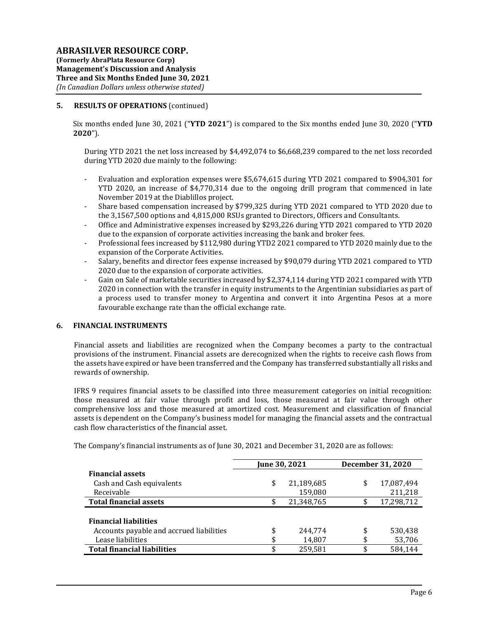## **5. RESULTS OF OPERATIONS** (continued)

Six months ended June 30, 2021 ("**YTD 2021**") is compared to the Six months ended June 30, 2020 ("**YTD 2020**").

During YTD 2021 the net loss increased by \$4,492,074 to \$6,668,239 compared to the net loss recorded during YTD 2020 due mainly to the following:

- Evaluation and exploration expenses were \$5,674,615 during YTD 2021 compared to \$904,301 for YTD 2020, an increase of \$4,770,314 due to the ongoing drill program that commenced in late November 2019 at the Diablillos project.
- Share based compensation increased by \$799,325 during YTD 2021 compared to YTD 2020 due to the 3,1567,500 options and 4,815,000 RSUs granted to Directors, Officers and Consultants.
- Office and Administrative expenses increased by \$293,226 during YTD 2021 compared to YTD 2020 due to the expansion of corporate activities increasing the bank and broker fees.
- Professional fees increased by \$112,980 during YTD2 2021 compared to YTD 2020 mainly due to the expansion of the Corporate Activities.
- Salary, benefits and director fees expense increased by \$90,079 during YTD 2021 compared to YTD 2020 due to the expansion of corporate activities.
- Gain on Sale of marketable securities increased by \$2,374,114 during YTD 2021 compared with YTD 2020 in connection with the transfer in equity instruments to the Argentinian subsidiaries as part of a process used to transfer money to Argentina and convert it into Argentina Pesos at a more favourable exchange rate than the official exchange rate.

#### **6. FINANCIAL INSTRUMENTS**

Financial assets and liabilities are recognized when the Company becomes a party to the contractual provisions of the instrument. Financial assets are derecognized when the rights to receive cash flows from the assets have expired or have been transferred and the Company has transferred substantially all risks and rewards of ownership.

IFRS 9 requires financial assets to be classified into three measurement categories on initial recognition: those measured at fair value through profit and loss, those measured at fair value through other comprehensive loss and those measured at amortized cost. Measurement and classification of financial assets is dependent on the Company's business model for managing the financial assets and the contractual cash flow characteristics of the financial asset.

The Company's financial instruments as of June 30, 2021 and December 31, 2020 are as follows:

|                                          | June 30, 2021 |            | December 31, 2020 |
|------------------------------------------|---------------|------------|-------------------|
| <b>Financial assets</b>                  |               |            |                   |
| Cash and Cash equivalents                | \$            | 21,189,685 | \$<br>17,087,494  |
| Receivable                               |               | 159,080    | 211,218           |
| <b>Total financial assets</b>            | \$            | 21,348,765 | \$<br>17,298,712  |
|                                          |               |            |                   |
| <b>Financial liabilities</b>             |               |            |                   |
| Accounts payable and accrued liabilities | \$            | 244,774    | \$<br>530,438     |
| Lease liabilities                        | \$            | 14,807     | \$<br>53,706      |
| <b>Total financial liabilities</b>       | \$            | 259,581    | \$<br>584,144     |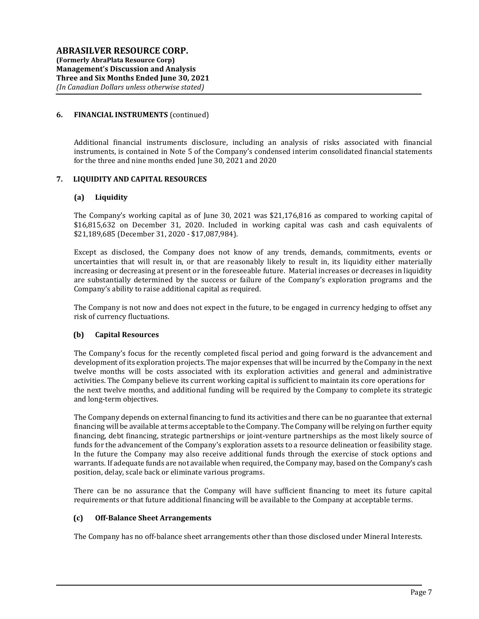## **6. FINANCIAL INSTRUMENTS** (continued)

Additional financial instruments disclosure, including an analysis of risks associated with financial instruments, is contained in Note 5 of the Company's condensed interim consolidated financial statements for the three and nine months ended June 30, 2021 and 2020

## **7. LIQUIDITY AND CAPITAL RESOURCES**

#### **(a) Liquidity**

The Company's working capital as of June 30, 2021 was \$21,176,816 as compared to working capital of \$16,815,632 on December 31, 2020. Included in working capital was cash and cash equivalents of \$21,189,685 (December 31, 2020 - \$17,087,984).

Except as disclosed, the Company does not know of any trends, demands, commitments, events or uncertainties that will result in, or that are reasonably likely to result in, its liquidity either materially increasing or decreasing at present or in the foreseeable future. Material increases or decreases in liquidity are substantially determined by the success or failure of the Company's exploration programs and the Company's ability to raise additional capital as required.

The Company is not now and does not expect in the future, to be engaged in currency hedging to offset any risk of currency fluctuations.

#### **(b) Capital Resources**

The Company's focus for the recently completed fiscal period and going forward is the advancement and development of its exploration projects. The major expenses that will be incurred by the Company in the next twelve months will be costs associated with its exploration activities and general and administrative activities. The Company believe its current working capital is sufficient to maintain its core operations for the next twelve months, and additional funding will be required by the Company to complete its strategic and long-term objectives.

The Company depends on external financing to fund its activities and there can be no guarantee that external financing will be available at terms acceptable to the Company. The Company will be relying on further equity financing, debt financing, strategic partnerships or joint-venture partnerships as the most likely source of funds for the advancement of the Company's exploration assets to a resource delineation or feasibility stage. In the future the Company may also receive additional funds through the exercise of stock options and warrants. If adequate funds are not available when required, the Company may, based on the Company's cash position, delay, scale back or eliminate various programs.

There can be no assurance that the Company will have sufficient financing to meet its future capital requirements or that future additional financing will be available to the Company at acceptable terms.

#### **(c) Off-Balance Sheet Arrangements**

The Company has no off-balance sheet arrangements other than those disclosed under Mineral Interests.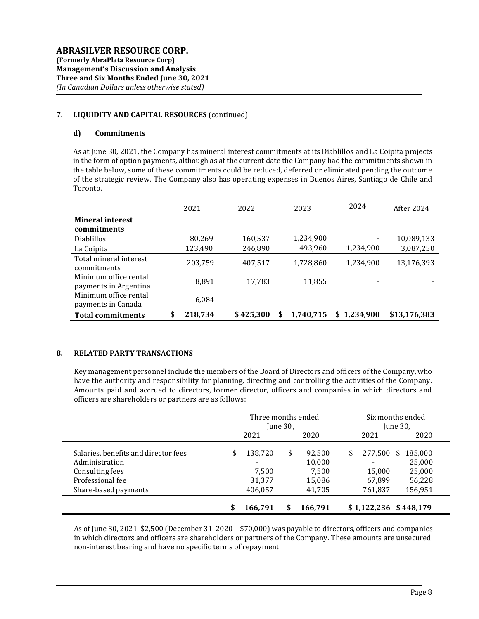# **7. LIQUIDITY AND CAPITAL RESOURCES** (continued)

#### **d) Commitments**

As at June 30, 2021, the Company has mineral interest commitments at its Diablillos and La Coipita projects in the form of option payments, although as at the current date the Company had the commitments shown in the table below, some of these commitments could be reduced, deferred or eliminated pending the outcome of the strategic review. The Company also has operating expenses in Buenos Aires, Santiago de Chile and Toronto.

|                                                | 2021          | 2022      | 2023      | 2024           | After 2024   |
|------------------------------------------------|---------------|-----------|-----------|----------------|--------------|
| <b>Mineral interest</b><br>commitments         |               |           |           |                |              |
| <b>Diablillos</b>                              | 80,269        | 160,537   | 1,234,900 |                | 10,089,133   |
| La Coipita                                     | 123,490       | 246,890   | 493,960   | 1,234,900      | 3,087,250    |
| Total mineral interest<br>commitments          | 203,759       | 407,517   | 1,728,860 | 1,234,900      | 13,176,393   |
| Minimum office rental<br>payments in Argentina | 8,891         | 17,783    | 11,855    |                |              |
| Minimum office rental<br>payments in Canada    | 6.084         |           |           |                |              |
| <b>Total commitments</b>                       | \$<br>218,734 | \$425,300 | 1,740,715 | 1.234.900<br>S | \$13,176,383 |

## **8. RELATED PARTY TRANSACTIONS**

Key management personnel include the members of the Board of Directors and officers of the Company, who have the authority and responsibility for planning, directing and controlling the activities of the Company. Amounts paid and accrued to directors, former director, officers and companies in which directors and officers are shareholders or partners are as follows:

|                                      | Three months ended<br>June $30$ . |    |         | Six months ended<br>June 30, |            |                         |
|--------------------------------------|-----------------------------------|----|---------|------------------------------|------------|-------------------------|
|                                      | 2021                              |    | 2020    |                              | 2021       | 2020                    |
| Salaries, benefits and director fees | \$<br>138,720                     | \$ | 92,500  | \$                           | 277,500 \$ | 185,000                 |
| Administration                       | $\overline{\phantom{a}}$          |    | 10,000  |                              |            | 25,000                  |
| Consulting fees                      | 7,500                             |    | 7,500   |                              | 15.000     | 25,000                  |
| Professional fee                     | 31,377                            |    | 15,086  |                              | 67,899     | 56,228                  |
| Share-based payments                 | 406,057                           |    | 41,705  |                              | 761,837    | 156,951                 |
|                                      | 166,791                           |    | 166.791 |                              |            | $$1,122,236$ $$448,179$ |

As of June 30, 2021, \$2,500 (December 31, 2020 – \$70,000) was payable to directors, officers and companies in which directors and officers are shareholders or partners of the Company. These amounts are unsecured, non-interest bearing and have no specific terms of repayment.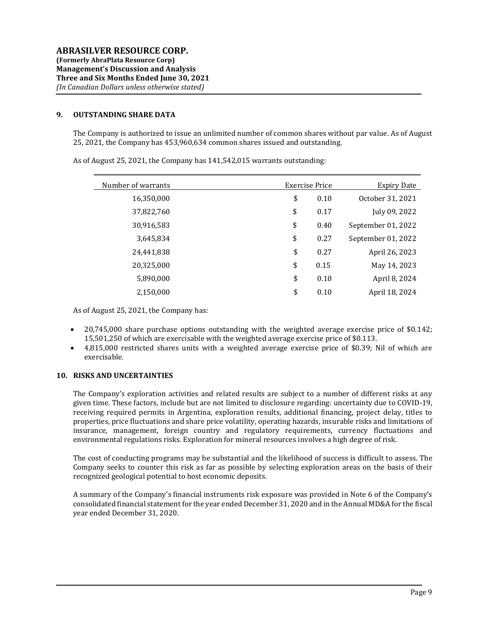## **9. OUTSTANDING SHARE DATA**

The Company is authorized to issue an unlimited number of common shares without par value. As of August 25, 2021, the Company has 453,960,634 common shares issued and outstanding.

| Number of warrants | Exercise Price | <b>Expiry Date</b> |  |
|--------------------|----------------|--------------------|--|
| 16,350,000         | \$<br>0.10     | October 31, 2021   |  |
| 37,822,760         | \$<br>0.17     | July 09, 2022      |  |
| 30,916,583         | \$<br>0.40     | September 01, 2022 |  |
| 3,645,834          | \$<br>0.27     | September 01, 2022 |  |
| 24,441,838         | \$<br>0.27     | April 26, 2023     |  |
| 20,325,000         | \$<br>0.15     | May 14, 2023       |  |
| 5,890,000          | \$<br>0.10     | April 8, 2024      |  |
| 2,150,000          | \$<br>0.10     | April 18, 2024     |  |

As of August 25, 2021, the Company has 141,542,015 warrants outstanding:

As of August 25, 2021, the Company has:

- 20,745,000 share purchase options outstanding with the weighted average exercise price of \$0.142; 15,501,250 of which are exercisable with the weighted average exercise price of \$0.113.
- 4,815,000 restricted shares units with a weighted average exercise price of \$0.39; Nil of which are exercisable.

#### **10. RISKS AND UNCERTAINTIES**

The Company's exploration activities and related results are subject to a number of different risks at any given time. These factors, include but are not limited to disclosure regarding: uncertainty due to COVID-19, receiving required permits in Argentina, exploration results, additional financing, project delay, titles to properties, price fluctuations and share price volatility, operating hazards, insurable risks and limitations of insurance, management, foreign country and regulatory requirements, currency fluctuations and environmental regulations risks. Exploration for mineral resources involves a high degree of risk.

The cost of conducting programs may be substantial and the likelihood of success is difficult to assess. The Company seeks to counter this risk as far as possible by selecting exploration areas on the basis of their recognized geological potential to host economic deposits.

A summary of the Company's financial instruments risk exposure was provided in Note 6 of the Company's consolidated financial statement for the year ended December 31, 2020 and in the Annual MD&A for the fiscal year ended December 31, 2020.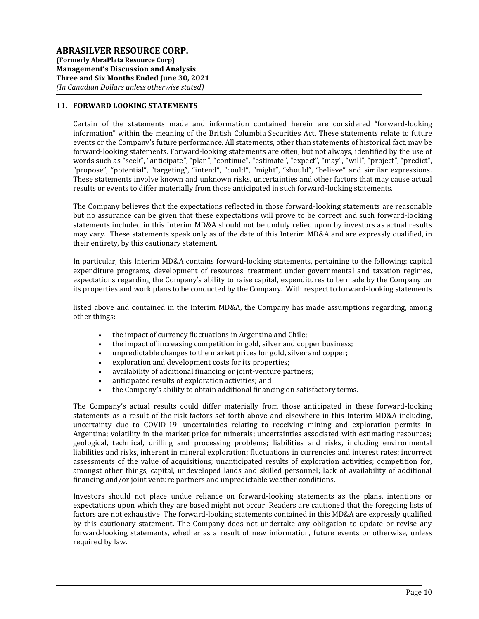## **11. FORWARD LOOKING STATEMENTS**

Certain of the statements made and information contained herein are considered "forward-looking information" within the meaning of the British Columbia Securities Act. These statements relate to future events or the Company's future performance. All statements, other than statements of historical fact, may be forward-looking statements. Forward-looking statements are often, but not always, identified by the use of words such as "seek", "anticipate", "plan", "continue", "estimate", "expect", "may", "will", "project", "predict", "propose", "potential", "targeting", "intend", "could", "might", "should", "believe" and similar expressions. These statements involve known and unknown risks, uncertainties and other factors that may cause actual results or events to differ materially from those anticipated in such forward-looking statements.

The Company believes that the expectations reflected in those forward-looking statements are reasonable but no assurance can be given that these expectations will prove to be correct and such forward-looking statements included in this Interim MD&A should not be unduly relied upon by investors as actual results may vary. These statements speak only as of the date of this Interim MD&A and are expressly qualified, in their entirety, by this cautionary statement.

In particular, this Interim MD&A contains forward-looking statements, pertaining to the following: capital expenditure programs, development of resources, treatment under governmental and taxation regimes, expectations regarding the Company's ability to raise capital, expenditures to be made by the Company on its properties and work plans to be conducted by the Company. With respect to forward-looking statements

listed above and contained in the Interim MD&A, the Company has made assumptions regarding, among other things:

- the impact of currency fluctuations in Argentina and Chile;
- the impact of increasing competition in gold, silver and copper business;
- unpredictable changes to the market prices for gold, silver and copper;
- exploration and development costs for its properties;
- availability of additional financing or joint-venture partners;
- anticipated results of exploration activities; and
- the Company's ability to obtain additional financing on satisfactory terms.

The Company's actual results could differ materially from those anticipated in these forward-looking statements as a result of the risk factors set forth above and elsewhere in this Interim MD&A including, uncertainty due to COVID-19, uncertainties relating to receiving mining and exploration permits in Argentina; volatility in the market price for minerals; uncertainties associated with estimating resources; geological, technical, drilling and processing problems; liabilities and risks, including environmental liabilities and risks, inherent in mineral exploration; fluctuations in currencies and interest rates; incorrect assessments of the value of acquisitions; unanticipated results of exploration activities; competition for, amongst other things, capital, undeveloped lands and skilled personnel; lack of availability of additional financing and/or joint venture partners and unpredictable weather conditions.

Investors should not place undue reliance on forward-looking statements as the plans, intentions or expectations upon which they are based might not occur. Readers are cautioned that the foregoing lists of factors are not exhaustive. The forward-looking statements contained in this MD&A are expressly qualified by this cautionary statement. The Company does not undertake any obligation to update or revise any forward-looking statements, whether as a result of new information, future events or otherwise, unless required by law.